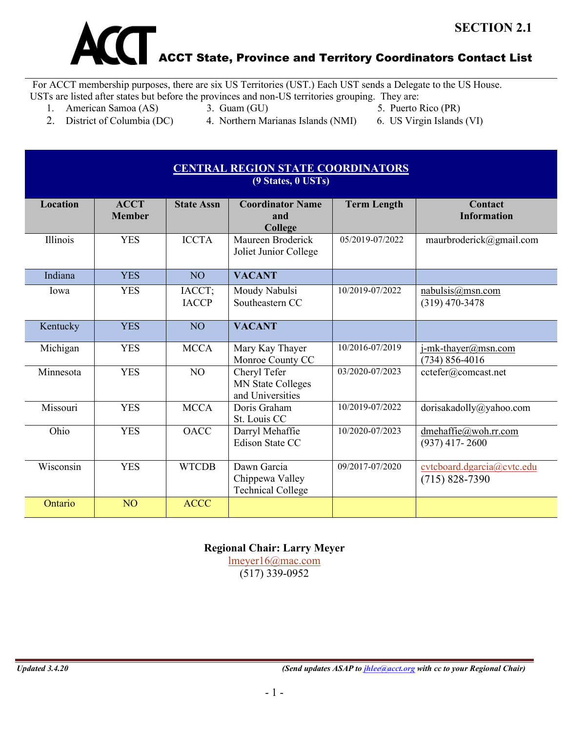

For ACCT membership purposes, there are six US Territories (UST.) Each UST sends a Delegate to the US House. USTs are listed after states but before the provinces and non-US territories grouping. They are:

- 1. American Samoa (AS) 3. Guam (GU) 5. Puerto Rico (PR)
- 
- 
- 2. District of Columbia (DC) 4. Northern Marianas Islands (NMI) 6. US Virgin Islands (VI)
- 
- 

| <b>CENTRAL REGION STATE COORDINATORS</b><br>(9 States, 0 USTs) |                              |                        |                                                              |                    |                                                  |  |
|----------------------------------------------------------------|------------------------------|------------------------|--------------------------------------------------------------|--------------------|--------------------------------------------------|--|
| <b>Location</b>                                                | <b>ACCT</b><br><b>Member</b> | <b>State Assn</b>      | <b>Coordinator Name</b><br>and<br>College                    | <b>Term Length</b> | Contact<br><b>Information</b>                    |  |
| Illinois                                                       | <b>YES</b>                   | <b>ICCTA</b>           | Maureen Broderick<br>Joliet Junior College                   | 05/2019-07/2022    | maurbroderick@gmail.com                          |  |
| Indiana                                                        | <b>YES</b>                   | N <sub>O</sub>         | <b>VACANT</b>                                                |                    |                                                  |  |
| Iowa                                                           | <b>YES</b>                   | IACCT;<br><b>IACCP</b> | Moudy Nabulsi<br>Southeastern CC                             | 10/2019-07/2022    | nabulsis@msn.com<br>$(319)$ 470-3478             |  |
| Kentucky                                                       | <b>YES</b>                   | N <sub>O</sub>         | <b>VACANT</b>                                                |                    |                                                  |  |
| Michigan                                                       | <b>YES</b>                   | <b>MCCA</b>            | Mary Kay Thayer<br>Monroe County CC                          | 10/2016-07/2019    | j-mk-thayer@msn.com<br>$(734) 856 - 4016$        |  |
| Minnesota                                                      | <b>YES</b>                   | N <sub>O</sub>         | Cheryl Tefer<br><b>MN State Colleges</b><br>and Universities | 03/2020-07/2023    | cctefer@comcast.net                              |  |
| Missouri                                                       | <b>YES</b>                   | <b>MCCA</b>            | Doris Graham<br>St. Louis CC                                 | 10/2019-07/2022    | dorisakadolly@yahoo.com                          |  |
| Ohio                                                           | <b>YES</b>                   | <b>OACC</b>            | Darryl Mehaffie<br><b>Edison State CC</b>                    | 10/2020-07/2023    | dmehaffie@woh.rr.com<br>$(937)$ 417-2600         |  |
| Wisconsin                                                      | <b>YES</b>                   | <b>WTCDB</b>           | Dawn Garcia<br>Chippewa Valley<br><b>Technical College</b>   | 09/2017-07/2020    | cvtcboard.dgarcia@cvtc.edu<br>$(715) 828 - 7390$ |  |
| Ontario                                                        | N <sub>O</sub>               | <b>ACCC</b>            |                                                              |                    |                                                  |  |

**Regional Chair: Larry Meyer**

[lmeyer16@mac.com](mailto:lmeyer16@mac.com) (517) 339-0952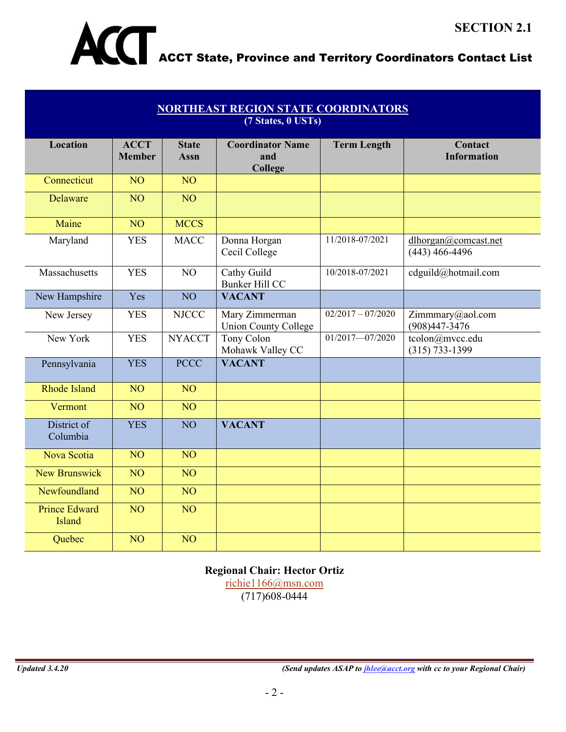

## ACCT State, Province and Territory Coordinators Contact List

| <b>NORTHEAST REGION STATE COORDINATORS</b><br>(7 States, 0 USTs) |                              |                             |                                               |                     |                                          |  |
|------------------------------------------------------------------|------------------------------|-----------------------------|-----------------------------------------------|---------------------|------------------------------------------|--|
| <b>Location</b>                                                  | <b>ACCT</b><br><b>Member</b> | <b>State</b><br><b>Assn</b> | <b>Coordinator Name</b><br>and<br>College     | <b>Term Length</b>  | Contact<br><b>Information</b>            |  |
| Connecticut                                                      | NO <sub>1</sub>              | NO <sub>1</sub>             |                                               |                     |                                          |  |
| Delaware                                                         | N <sub>O</sub>               | NO <sub>1</sub>             |                                               |                     |                                          |  |
| Maine                                                            | NO <sub>1</sub>              | <b>MCCS</b>                 |                                               |                     |                                          |  |
| Maryland                                                         | <b>YES</b>                   | <b>MACC</b>                 | Donna Horgan<br>Cecil College                 | 11/2018-07/2021     | dlhorgan@comcast.net<br>$(443)$ 466-4496 |  |
| Massachusetts                                                    | <b>YES</b>                   | NO                          | Cathy Guild<br>Bunker Hill CC                 | 10/2018-07/2021     | cdguild@hotmail.com                      |  |
| New Hampshire                                                    | Yes                          | NO <sub>1</sub>             | <b>VACANT</b>                                 |                     |                                          |  |
| New Jersey                                                       | <b>YES</b>                   | <b>NJCCC</b>                | Mary Zimmerman<br><b>Union County College</b> | $02/2017 - 07/2020$ | Zimmmary@aol.com<br>$(908)447 - 3476$    |  |
| New York                                                         | <b>YES</b>                   | <b>NYACCT</b>               | Tony Colon<br>Mohawk Valley CC                | $01/2017 - 07/2020$ | tcolon@mvcc.edu<br>$(315) 733 - 1399$    |  |
| Pennsylvania                                                     | <b>YES</b>                   | <b>PCCC</b>                 | <b>VACANT</b>                                 |                     |                                          |  |
| <b>Rhode Island</b>                                              | NO <sub>1</sub>              | N <sub>O</sub>              |                                               |                     |                                          |  |
| Vermont                                                          | NO <sub>1</sub>              | $\overline{NO}$             |                                               |                     |                                          |  |
| District of<br>Columbia                                          | <b>YES</b>                   | N <sub>O</sub>              | <b>VACANT</b>                                 |                     |                                          |  |
| Nova Scotia                                                      | NO <sub>1</sub>              | NO <sub>1</sub>             |                                               |                     |                                          |  |
| <b>New Brunswick</b>                                             | NO <sub>1</sub>              | NO <sub>1</sub>             |                                               |                     |                                          |  |
| Newfoundland                                                     | NO <sub>1</sub>              | NO <sub>1</sub>             |                                               |                     |                                          |  |
| <b>Prince Edward</b><br><b>Island</b>                            | NO <sub>1</sub>              | NO <sub>1</sub>             |                                               |                     |                                          |  |
| Quebec                                                           | NO <sub>1</sub>              | NO <sub>1</sub>             |                                               |                     |                                          |  |

#### **Regional Chair: Hector Ortiz**

[richie1166@msn.com](mailto:richie1166@msn.com) (717)608-0444

*Updated 3.4.20 (Send updates ASAP to [jhlee@acct.org](mailto:jhlee@acct.org) with cc to your Regional Chair)*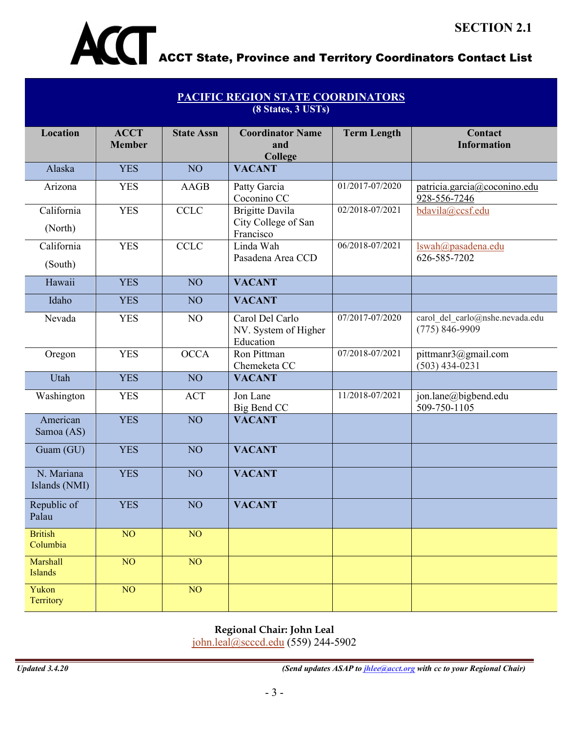

| <b>PACIFIC REGION STATE COORDINATORS</b><br>(8 States, 3 USTs) |                              |                   |                                                            |                    |                                                       |  |
|----------------------------------------------------------------|------------------------------|-------------------|------------------------------------------------------------|--------------------|-------------------------------------------------------|--|
| <b>Location</b>                                                | <b>ACCT</b><br><b>Member</b> | <b>State Assn</b> | <b>Coordinator Name</b><br>and<br>College                  | <b>Term Length</b> | Contact<br><b>Information</b>                         |  |
| Alaska                                                         | <b>YES</b>                   | NO <sub>1</sub>   | <b>VACANT</b>                                              |                    |                                                       |  |
| Arizona                                                        | <b>YES</b>                   | AAGB              | Patty Garcia<br>Coconino CC                                | 01/2017-07/2020    | patricia.garcia@coconino.edu<br>928-556-7246          |  |
| California<br>(North)                                          | <b>YES</b>                   | <b>CCLC</b>       | <b>Brigitte Davila</b><br>City College of San<br>Francisco | 02/2018-07/2021    | bdavila@ccsf.edu                                      |  |
| California<br>(South)                                          | <b>YES</b>                   | <b>CCLC</b>       | Linda Wah<br>Pasadena Area CCD                             | 06/2018-07/2021    | lswah@pasadena.edu<br>626-585-7202                    |  |
| Hawaii                                                         | <b>YES</b>                   | NO <sub>1</sub>   | <b>VACANT</b>                                              |                    |                                                       |  |
| Idaho                                                          | <b>YES</b>                   | NO <sub>1</sub>   | <b>VACANT</b>                                              |                    |                                                       |  |
| Nevada                                                         | <b>YES</b>                   | NO                | Carol Del Carlo<br>NV. System of Higher<br>Education       | 07/2017-07/2020    | carol del carlo@nshe.nevada.edu<br>$(775) 846 - 9909$ |  |
| Oregon                                                         | <b>YES</b>                   | <b>OCCA</b>       | Ron Pittman<br>Chemeketa CC                                | 07/2018-07/2021    | pittmanr3@gmail.com<br>$(503)$ 434-0231               |  |
| Utah                                                           | <b>YES</b>                   | NO <sub>1</sub>   | <b>VACANT</b>                                              |                    |                                                       |  |
| Washington                                                     | <b>YES</b>                   | <b>ACT</b>        | Jon Lane<br>Big Bend CC                                    | 11/2018-07/2021    | jon.lane@bigbend.edu<br>509-750-1105                  |  |
| American<br>Samoa (AS)                                         | <b>YES</b>                   | NO <sub>1</sub>   | <b>VACANT</b>                                              |                    |                                                       |  |
| Guam (GU)                                                      | <b>YES</b>                   | NO <sub>1</sub>   | <b>VACANT</b>                                              |                    |                                                       |  |
| N. Mariana<br>Islands (NMI)                                    | <b>YES</b>                   | NO <sub>1</sub>   | <b>VACANT</b>                                              |                    |                                                       |  |
| Republic of<br>Palau                                           | <b>YES</b>                   | NO                | <b>VACANT</b>                                              |                    |                                                       |  |
| <b>British</b><br>Columbia                                     | NO <sub>1</sub>              | NO                |                                                            |                    |                                                       |  |
| Marshall<br>Islands                                            | NO <sub>1</sub>              | NO                |                                                            |                    |                                                       |  |
| Yukon<br>Territory                                             | NO                           | NO                |                                                            |                    |                                                       |  |

### **Regional Chair: John Leal**

[john.leal@scccd.edu](mailto:john.leal@scccd.edu) (559) 244-5902

*Updated 3.4.20 (Send updates ASAP to [jhlee@acct.org](mailto:jhlee@acct.org) with cc to your Regional Chair)*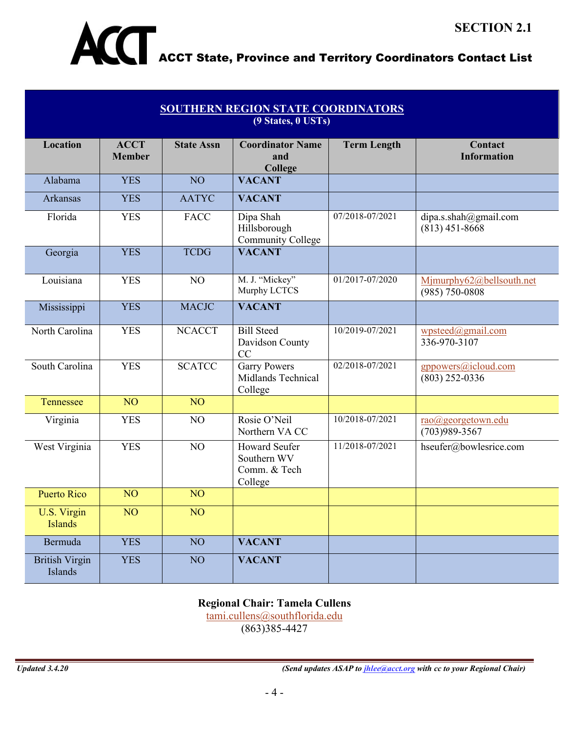

| <b>SOUTHERN REGION STATE COORDINATORS</b><br>(9 States, 0 USTs) |                              |                   |                                                                |                    |                                                |  |
|-----------------------------------------------------------------|------------------------------|-------------------|----------------------------------------------------------------|--------------------|------------------------------------------------|--|
| <b>Location</b>                                                 | <b>ACCT</b><br><b>Member</b> | <b>State Assn</b> | <b>Coordinator Name</b><br>and<br>College                      | <b>Term Length</b> | Contact<br><b>Information</b>                  |  |
| Alabama                                                         | <b>YES</b>                   | NO <sub>1</sub>   | <b>VACANT</b>                                                  |                    |                                                |  |
| Arkansas                                                        | <b>YES</b>                   | <b>AATYC</b>      | <b>VACANT</b>                                                  |                    |                                                |  |
| Florida                                                         | <b>YES</b>                   | <b>FACC</b>       | Dipa Shah<br>Hillsborough<br>Community College                 | 07/2018-07/2021    | dipa.s.shah@gmail.com<br>$(813)$ 451-8668      |  |
| Georgia                                                         | <b>YES</b>                   | <b>TCDG</b>       | <b>VACANT</b>                                                  |                    |                                                |  |
| Louisiana                                                       | <b>YES</b>                   | NO                | M. J. "Mickey"<br>Murphy LCTCS                                 | 01/2017-07/2020    | Mjmurphy62@bellsouth.net<br>$(985) 750 - 0808$ |  |
| Mississippi                                                     | <b>YES</b>                   | <b>MACJC</b>      | <b>VACANT</b>                                                  |                    |                                                |  |
| North Carolina                                                  | <b>YES</b>                   | <b>NCACCT</b>     | <b>Bill Steed</b><br>Davidson County<br>CC                     | 10/2019-07/2021    | wpsteed@gmail.com<br>336-970-3107              |  |
| South Carolina                                                  | <b>YES</b>                   | <b>SCATCC</b>     | <b>Garry Powers</b><br>Midlands Technical<br>College           | 02/2018-07/2021    | gppowers@icloud.com<br>$(803)$ 252-0336        |  |
| Tennessee                                                       | NO <sub>1</sub>              | NO <sub>1</sub>   |                                                                |                    |                                                |  |
| Virginia                                                        | <b>YES</b>                   | NO                | Rosie O'Neil<br>Northern VA CC                                 | 10/2018-07/2021    | rao@georgetown.edu<br>$(703)989 - 3567$        |  |
| West Virginia                                                   | <b>YES</b>                   | NO                | <b>Howard Seufer</b><br>Southern WV<br>Comm. & Tech<br>College | 11/2018-07/2021    | hseufer@bowlesrice.com                         |  |
| <b>Puerto Rico</b>                                              | NO <sub>1</sub>              | NO <sub>1</sub>   |                                                                |                    |                                                |  |
| U.S. Virgin<br><b>Islands</b>                                   | NO                           | NO <sub>1</sub>   |                                                                |                    |                                                |  |
| Bermuda                                                         | <b>YES</b>                   | NO                | <b>VACANT</b>                                                  |                    |                                                |  |
| <b>British Virgin</b><br>Islands                                | <b>YES</b>                   | NO                | <b>VACANT</b>                                                  |                    |                                                |  |

# **Regional Chair: Tamela Cullens**

[tami.cullens@southflorida.edu](mailto:tami.cullens@southflorida.edu) (863)385-4427

*Updated 3.4.20 (Send updates ASAP to [jhlee@acct.org](mailto:jhlee@acct.org) with cc to your Regional Chair)*